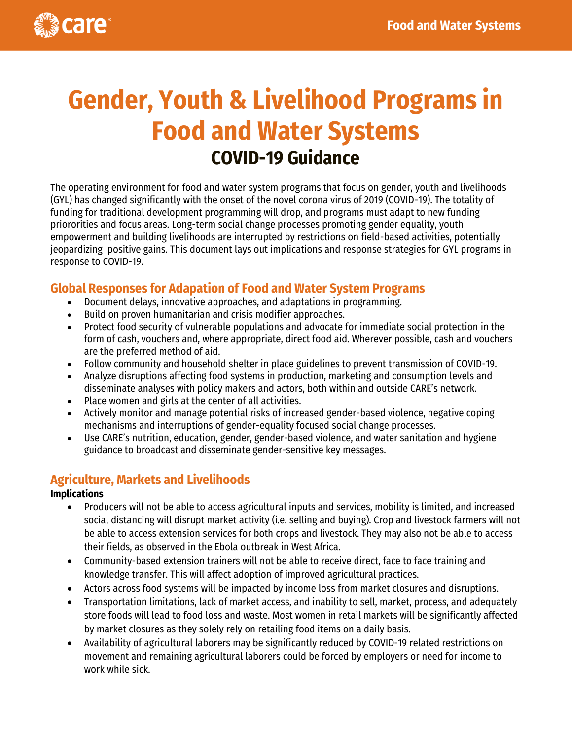

# **Gender, Youth & Livelihood Programs in Food and Water Systems COVID-19 Guidance**

The operating environment for food and water system programs that focus on gender, youth and livelihoods (GYL) has changed significantly with the onset of the novel corona virus of 2019 (COVID-19). The totality of funding for traditional development programming will drop, and programs must adapt to new funding priororities and focus areas. Long-term social change processes promoting gender equality, youth empowerment and building livelihoods are interrupted by restrictions on field-based activities, potentially jeopardizing positive gains. This document lays out implications and response strategies for GYL programs in response to COVID-19.

## **Global Responses for Adapation of Food and Water System Programs**

- Document delays, innovative approaches, and adaptations in programming.
- Build on proven humanitarian and crisis modifier approaches.
- Protect food security of vulnerable populations and advocate for immediate social protection in the form of cash, vouchers and, where appropriate, direct food aid. Wherever possible, cash and vouchers are the preferred method of aid.
- Follow community and household shelter in place guidelines to prevent transmission of COVID-19.
- Analyze disruptions affecting food systems in production, marketing and consumption levels and disseminate analyses with policy makers and actors, both within and outside CARE's network.
- Place women and girls at the center of all activities.
- Actively monitor and manage potential risks of increased gender-based violence, negative coping mechanisms and interruptions of gender-equality focused social change processes.
- Use CARE's nutrition, education, gender, gender-based violence, and water sanitation and hygiene guidance to broadcast and disseminate gender-sensitive key messages.

## **Agriculture, Markets and Livelihoods**

#### **Implications**

- Producers will not be able to access agricultural inputs and services, mobility is limited, and increased social distancing will disrupt market activity (i.e. selling and buying). Crop and livestock farmers will not be able to access extension services for both crops and livestock. They may also not be able to access their fields, as observed in the Ebola outbreak in West Africa.
- Community-based extension trainers will not be able to receive direct, face to face training and knowledge transfer. This will affect adoption of improved agricultural practices.
- Actors across food systems will be impacted by income loss from market closures and disruptions.
- Transportation limitations, lack of market access, and inability to sell, market, process, and adequately store foods will lead to food loss and waste. Most women in retail markets will be significantly affected by market closures as they solely rely on retailing food items on a daily basis.
- Availability of agricultural laborers may be significantly reduced by COVID-19 related restrictions on movement and remaining agricultural laborers could be forced by employers or need for income to work while sick.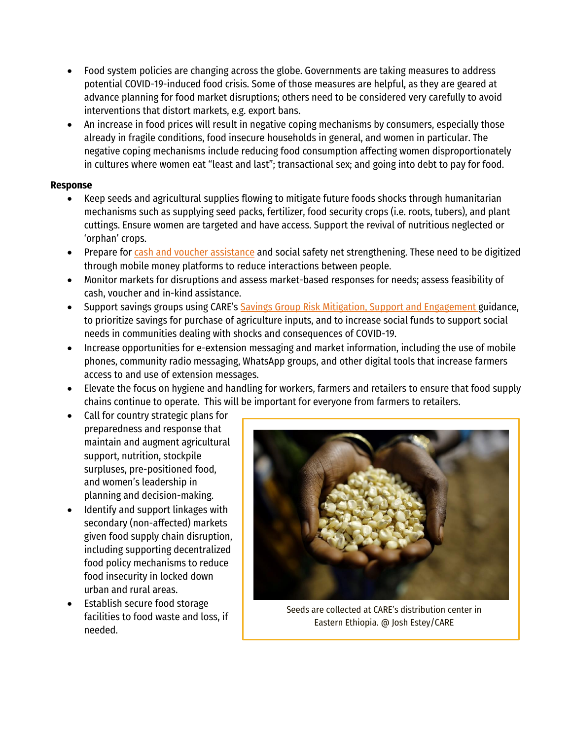- Food system policies are changing across the globe. Governments are taking measures to address potential COVID-19-induced food crisis. Some of those measures are helpful, as they are geared at advance planning for food market disruptions; others need to be considered very carefully to avoid interventions that distort markets, e.g. export bans.
- An increase in food prices will result in negative coping mechanisms by consumers, especially those already in fragile conditions, food insecure households in general, and women in particular. The negative coping mechanisms include reducing food consumption affecting women disproportionately in cultures where women eat "least and last"; transactional sex; and going into debt to pay for food.

#### **Response**

- Keep seeds and agricultural supplies flowing to mitigate future foods shocks through humanitarian mechanisms such as supplying seed packs, fertilizer, food security crops (i.e. roots, tubers), and plant cuttings. Ensure women are targeted and have access. Support the revival of nutritious neglected or 'orphan' crops.
- Prepare fo[r cash and voucher assistance](https://careinternational.sharepoint.com/sites/Global-Humanitarian-Hub/Shared%20Documents/Forms/CI%20Humanitarian%20Library.aspx?id=%2Fsites%2FGlobal%2DHumanitarian%2DHub%2FShared%20Documents%2FCoVID%2019%2F2020%2E03%2E23%5FCoVID%2019%20Cash%20and%20voucher%20assistance%20Tip%20Sheet%2Epdf&parent=%2Fsites%2FGlobal%2DHumanitarian%2DHub%2FShared%20Documents%2FCoVID%2019&p=true&originalPath=aHR0cHM6Ly9jYXJlaW50ZXJuYXRpb25hbC5zaGFyZXBvaW50LmNvbS86Yjovcy9HbG9iYWwtSHVtYW5pdGFyaWFuLUh1Yi9FZlNUazdldUY2bERyOXZnMkFFV1RyQUIyRFUzekRTU014eXAwZ29XXzFEZkNnP3J0aW1lPVhraGVCM19XMTBn) and social safety net strengthening. These need to be digitized through mobile money platforms to reduce interactions between people.
- Monitor markets for disruptions and assess market-based responses for needs; assess feasibility of cash, voucher and in-kind assistance.
- Support savings groups using CARE's [Savings Group Risk Mitigation, Support and Engagement](https://careinternational.sharepoint.com/sites/Global-Humanitarian-Hub/Shared%20Documents/CoVID%2019/2020.03.23_Saving%20Group%20Risk%20Mitigation,%20support%20and%20engagement%20-%20COVID%2019%20_group_guidance.pdf?csf=1&e=wwhP5T&cid=5b3c8a4d-70a1-4dd5-9c74-8d2ba4443b20) guidance, to prioritize savings for purchase of agriculture inputs, and to increase social funds to support social needs in communities dealing with shocks and consequences of COVID-19.
- Increase opportunities for e-extension messaging and market information, including the use of mobile phones, community radio messaging, WhatsApp groups, and other digital tools that increase farmers access to and use of extension messages.
- Elevate the focus on hygiene and handling for workers, farmers and retailers to ensure that food supply chains continue to operate. This will be important for everyone from farmers to retailers.
- Call for country strategic plans for preparedness and response that maintain and augment agricultural support, nutrition, stockpile surpluses, pre-positioned food, and women's leadership in planning and decision-making.
- Identify and support linkages with secondary (non-affected) markets given food supply chain disruption, including supporting decentralized food policy mechanisms to reduce food insecurity in locked down urban and rural areas.
- Establish secure food storage facilities to food waste and loss, if needed.



Seeds are collected at CARE's distribution center in Eastern Ethiopia. @ Josh Estey/CARE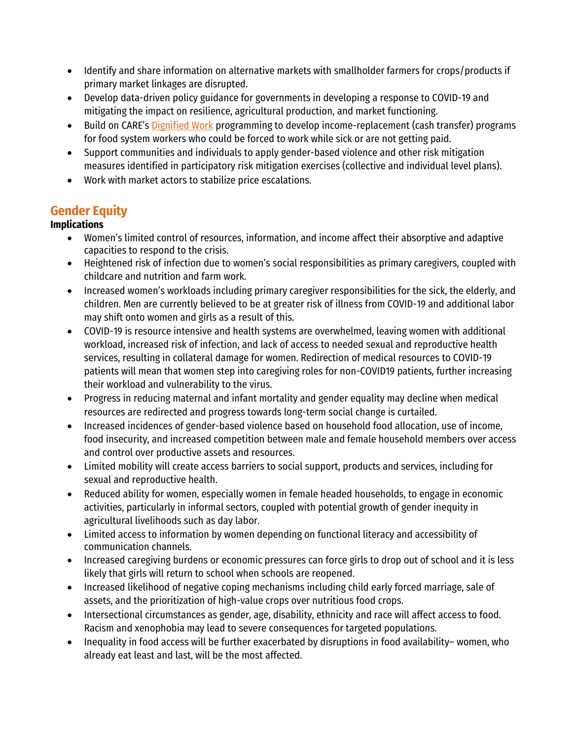- Identify and share information on alternative markets with smallholder farmers for crops/products if primary market linkages are disrupted.
- Develop data-driven policy guidance for governments in developing a response to COVID-19 and mitigating the impact on resilience, agricultural production, and market functioning.
- Build on CARE's [Dignified Work](https://www.care.org/work/womens-empowerment/dignified-work) programming to develop income-replacement (cash transfer) programs for food system workers who could be forced to work while sick or are not getting paid.
- Support communities and individuals to apply gender-based violence and other risk mitigation measures identified in participatory risk mitigation exercises (collective and individual level plans).
- Work with market actors to stabilize price escalations.

# **Gender Equity**

### **Implications**

- Women's limited control of resources, information, and income affect their absorptive and adaptive capacities to respond to the crisis.
- Heightened risk of infection due to women's social responsibilities as primary caregivers, coupled with childcare and nutrition and farm work.
- Increased women's workloads including primary caregiver responsibilities for the sick, the elderly, and children. Men are currently believed to be at greater risk of illness from COVID-19 and additional labor may shift onto women and girls as a result of this.
- COVID-19 is resource intensive and health systems are overwhelmed, leaving women with additional workload, increased risk of infection, and lack of access to needed sexual and reproductive health services, resulting in collateral damage for women. Redirection of medical resources to COVID-19 patients will mean that women step into caregiving roles for non-COVID19 patients, further increasing their workload and vulnerability to the virus.
- Progress in reducing maternal and infant mortality and gender equality may decline when medical resources are redirected and progress towards long-term social change is curtailed.
- Increased incidences of gender-based violence based on household food allocation, use of income, food insecurity, and increased competition between male and female household members over access and control over productive assets and resources.
- Limited mobility will create access barriers to social support, products and services, including for sexual and reproductive health.
- Reduced ability for women, especially women in female headed households, to engage in economic activities, particularly in informal sectors, coupled with potential growth of gender inequity in agricultural livelihoods such as day labor.
- Limited access to information by women depending on functional literacy and accessibility of communication channels.
- Increased caregiving burdens or economic pressures can force girls to drop out of school and it is less likely that girls will return to school when schools are reopened.
- Increased likelihood of negative coping mechanisms including child early forced marriage, sale of assets, and the prioritization of high-value crops over nutritious food crops.
- Intersectional circumstances as gender, age, disability, ethnicity and race will affect access to food. Racism and xenophobia may lead to severe consequences for targeted populations.
- Inequality in food access will be further exacerbated by disruptions in food availability– women, who already eat least and last, will be the most affected.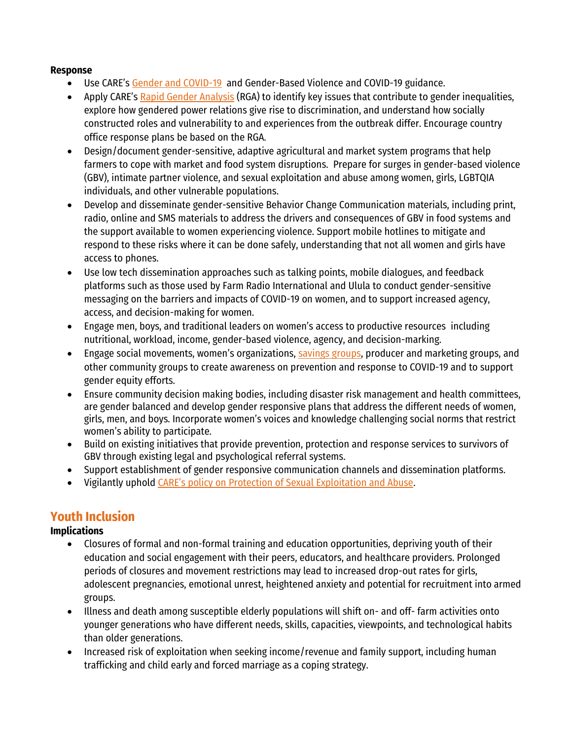#### **Response**

- Use CARE's [Gender and COVID-19](https://www.care.org/sites/default/files/gendered_implications_of_covid-19_-_full_paper.pdf) and Gender-Based Violence and COVID-19 guidance.
- Apply CARE's **[Rapid Gender Analysis](https://insights.careinternational.org.uk/in-practice/rapid-gender-analysis)** (RGA) to identify key issues that contribute to gender inequalities, explore how gendered power relations give rise to discrimination, and understand how socially constructed roles and vulnerability to and experiences from the outbreak differ. Encourage country office response plans be based on the RGA.
- Design/document gender-sensitive, adaptive agricultural and market system programs that help farmers to cope with market and food system disruptions. Prepare for surges in gender-based violence (GBV), intimate partner violence, and sexual exploitation and abuse among women, girls, LGBTQIA individuals, and other vulnerable populations.
- Develop and disseminate gender-sensitive Behavior Change Communication materials, including print, radio, online and SMS materials to address the drivers and consequences of GBV in food systems and the support available to women experiencing violence. Support mobile hotlines to mitigate and respond to these risks where it can be done safely, understanding that not all women and girls have access to phones.
- Use low tech dissemination approaches such as talking points, mobile dialogues, and feedback platforms such as those used by Farm Radio International and Ulula to conduct gender-sensitive messaging on the barriers and impacts of COVID-19 on women, and to support increased agency, access, and decision-making for women.
- Engage men, boys, and traditional leaders on women's access to productive resources including nutritional, workload, income, gender-based violence, agency, and decision-marking.
- Engage social movements, women's organizations, [savings groups,](https://www.care.org/sites/default/files/documents/care_covid-19_savings_group_guidance.pdf) producer and marketing groups, and other community groups to create awareness on prevention and response to COVID-19 and to support gender equity efforts.
- Ensure community decision making bodies, including disaster risk management and health committees, are gender balanced and develop gender responsive plans that address the different needs of women, girls, men, and boys. Incorporate women's voices and knowledge challenging social norms that restrict women's ability to participate.
- Build on existing initiatives that provide prevention, protection and response services to survivors of GBV through existing legal and psychological referral systems.
- Support establishment of gender responsive communication channels and dissemination platforms.
- Vigilantly uphold [CARE's policy on Protection of Sexual Exploitation and Abuse](https://www.care-international.org/files/files/Protection-from-Sexual-Exploitation-and-Abuse-and-Child-Protection_CARE-International-Policy_1-July-2017.pdf).

## **Youth Inclusion**

#### **Implications**

- Closures of formal and non-formal training and education opportunities, depriving youth of their education and social engagement with their peers, educators, and healthcare providers. Prolonged periods of closures and movement restrictions may lead to increased drop-out rates for girls, adolescent pregnancies, emotional unrest, heightened anxiety and potential for recruitment into armed groups.
- Illness and death among susceptible elderly populations will shift on- and off- farm activities onto younger generations who have different needs, skills, capacities, viewpoints, and technological habits than older generations.
- Increased risk of exploitation when seeking income/revenue and family support, including human trafficking and child early and forced marriage as a coping strategy.